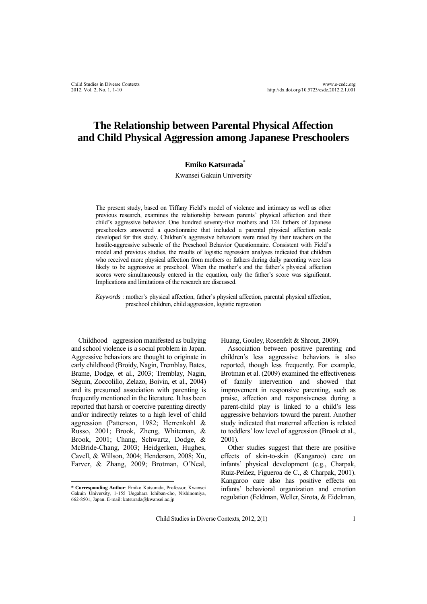## **Emiko Katsurada\***

Kwansei Gakuin University

The present study, based on Tiffany Field's model of violence and intimacy as well as other previous research, examines the relationship between parents' physical affection and their child's aggressive behavior. One hundred seventy-five mothers and 124 fathers of Japanese preschoolers answered a questionnaire that included a parental physical affection scale developed for this study. Children's aggressive behaviors were rated by their teachers on the hostile-aggressive subscale of the Preschool Behavior Questionnaire. Consistent with Field's model and previous studies, the results of logistic regression analyses indicated that children who received more physical affection from mothers or fathers during daily parenting were less likely to be aggressive at preschool. When the mother's and the father's physical affection scores were simultaneously entered in the equation, only the father's score was significant. Implications and limitations of the research are discussed.

*Keywords* : mother's physical affection, father's physical affection, parental physical affection, preschool children, child aggression, logistic regression

Childhood aggression manifested as bullying and school violence is a social problem in Japan. Aggressive behaviors are thought to originate in early childhood (Broidy, Nagin, Tremblay, Bates, Brame, Dodge, et al., 2003; Tremblay, Nagin, Séguin, Zoccolillo, Zelazo, Boivin, et al., 2004) and its presumed association with parenting is frequently mentioned in the literature. It has been reported that harsh or coercive parenting directly and/or indirectly relates to a high level of child aggression (Patterson, 1982; Herrenkohl & Russo, 2001; Brook, Zheng, Whiteman, & Brook, 2001; Chang, Schwartz, Dodge, & McBride-Chang, 2003; Heidgerken, Hughes, Cavell, & Willson, 2004; Henderson, 2008; Xu, Farver, & Zhang, 2009; Brotman, O'Neal,

 $\overline{a}$ 

Huang, Gouley, Rosenfelt & Shrout, 2009).

Association between positive parenting and children's less aggressive behaviors is also reported, though less frequently. For example, Brotman et al. (2009) examined the effectiveness of family intervention and showed that improvement in responsive parenting, such as praise, affection and responsiveness during a parent-child play is linked to a child's less aggressive behaviors toward the parent. Another study indicated that maternal affection is related to toddlers' low level of aggression (Brook et al., 2001).

Other studies suggest that there are positive effects of skin-to-skin (Kangaroo) care on infants' physical development (e.g., Charpak, Ruiz-Peláez, Figueroa de C., & Charpak, 2001). Kangaroo care also has positive effects on infants' behavioral organization and emotion regulation (Feldman, Weller, Sirota, & Eidelman,

**<sup>\*</sup> Corresponding Author**: Emiko Katsurada, Professor, Kwansei Gakuin University, 1-155 Uegahara Ichiban-cho, Nishinomiya, 662-8501, Japan. E-mail: katsurada@kwansei.ac.jp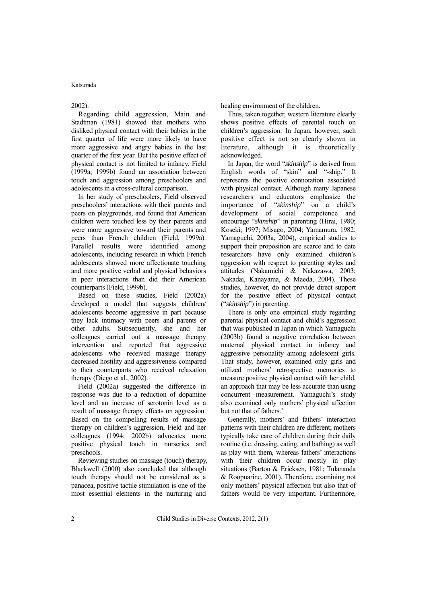#### 2002).

Regarding child aggression, Main and Stadtman (1981) showed that mothers who disliked physical contact with their babies in the first quarter of life were more likely to have more aggressive and angry babies in the last quarter of the first year. But the positive effect of physical contact is not limited to infancy. Field (1999a; 1999b) found an association between touch and aggression among preschoolers and adolescents in a cross-cultural comparison.

In her study of preschoolers, Field observed preschoolers' interactions with their parents and peers on playgrounds, and found that American children were touched less by their parents and were more aggressive toward their parents and peers than French children (Field, 1999a). Parallel results were identified among adolescents, including research in which French adolescents showed more affectionate touching and more positive verbal and physical behaviors in peer interactions than did their American counterparts (Field, 1999b).

Based on these studies, Field (2002a) developed a model that suggests children/ adolescents become aggressive in part because they lack intimacy with peers and parents or other adults. Subsequently, she and her colleagues carried out a massage therapy intervention and reported that aggressive adolescents who received massage therapy decreased hostility and aggressiveness compared to their counterparts who received relaxation therapy (Diego et al., 2002).

Field (2002a) suggested the difference in response was due to a reduction of dopamine level and an increase of serotonin level as a result of massage therapy effects on aggression. Based on the compelling results of massage therapy on children's aggression, Field and her colleagues (1994; 2002b) advocates more positive physical touch in nurseries and preschools.

Reviewing studies on massage (touch) therapy, Blackwell (2000) also concluded that although touch therapy should not be considered as a panacea, positive tactile stimulation is one of the most essential elements in the nurturing and

healing environment of the children.

Thus, taken together, western literature clearly shows positive effects of parental touch on children's aggression. In Japan, however, such positive effect is not so clearly shown in literature, although it is theoretically acknowledged.

In Japan, the word "*skinship*" is derived from English words of "skin" and "-ship." It represents the positive connotation associated with physical contact. Although many Japanese researchers and educators emphasize the importance of "*skinship*" on a child's development of social competence and encourage "*skinship*" in parenting (Hirai, 1980; Koseki, 1997; Misago, 2004; Yamamura, 1982; Yamaguchi, 2003a, 2004), empirical studies to support their proposition are scarce and to date researchers have only examined children's aggression with respect to parenting styles and attitudes (Nakamichi & Nakazawa, 2003; Nakadai, Kanayama, & Maeda, 2004). These studies, however, do not provide direct support for the positive effect of physical contact ("*skinship*") in parenting.

There is only one empirical study regarding parental physical contact and child's aggression that was published in Japan in which Yamaguchi (2003b) found a negative correlation between maternal physical contact in infancy and aggressive personality among adolescent girls. That study, however, examined only girls and utilized mothers' retrospective memories to measure positive physical contact with her child, an approach that may be less accurate than using concurrent measurement. Yamaguchi's study also examined only mothers' physical affection but not that of fathers.'

Generally, mothers' and fathers' interaction patterns with their children are different; mothers typically take care of children during their daily routine (i.e. dressing, eating, and bathing) as well as play with them, whereas fathers' interactions with their children occur mostly in play situations (Barton & Ericksen, 1981; Tulananda & Roopnarine, 2001). Therefore, examining not only mothers' physical affection but also that of fathers would be very important. Furthermore,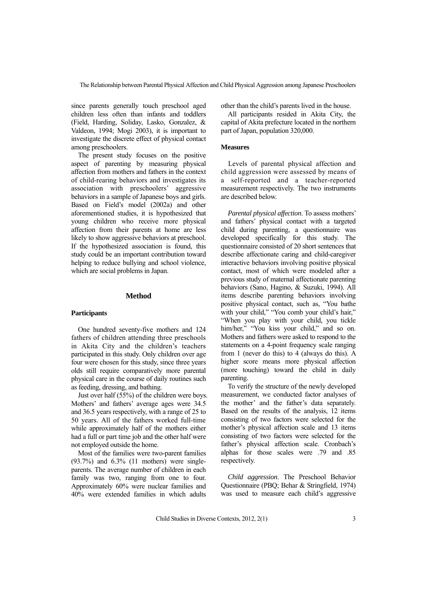since parents generally touch preschool aged children less often than infants and toddlers (Field, Harding, Soliday, Lasko, Gonzalez, & Valdeon, 1994; Mogi 2003), it is important to investigate the discrete effect of physical contact among preschoolers.

The present study focuses on the positive aspect of parenting by measuring physical affection from mothers and fathers in the context of child-rearing behaviors and investigates its association with preschoolers' aggressive behaviors in a sample of Japanese boys and girls. Based on Field's model (2002a) and other aforementioned studies, it is hypothesized that young children who receive more physical affection from their parents at home are less likely to show aggressive behaviors at preschool. If the hypothesized association is found, this study could be an important contribution toward helping to reduce bullying and school violence, which are social problems in Japan.

### **Method**

### **Participants**

One hundred seventy-five mothers and 124 fathers of children attending three preschools in Akita City and the children's teachers participated in this study. Only children over age four were chosen for this study, since three years olds still require comparatively more parental physical care in the course of daily routines such as feeding, dressing, and bathing.

Just over half (55%) of the children were boys. Mothers' and fathers' average ages were 34.5 and 36.5 years respectively, with a range of 25 to 50 years. All of the fathers worked full-time while approximately half of the mothers either had a full or part time job and the other half were not employed outside the home.

Most of the families were two-parent families  $(93.7\%)$  and  $6.3\%$  (11 mothers) were singleparents. The average number of children in each family was two, ranging from one to four. Approximately 60% were nuclear families and 40% were extended families in which adults other than the child's parents lived in the house.

All participants resided in Akita City, the capital of Akita prefecture located in the northern part of Japan, population 320,000.

## **Measures**

Levels of parental physical affection and child aggression were assessed by means of a self-reported and a teacher-reported measurement respectively. The two instruments are described below.

*Parental physical affection*. To assess mothers' and fathers' physical contact with a targeted child during parenting, a questionnaire was developed specifically for this study. The questionnaire consisted of 20 short sentences that describe affectionate caring and child-caregiver interactive behaviors involving positive physical contact, most of which were modeled after a previous study of maternal affectionate parenting behaviors (Sano, Hagino, & Suzuki, 1994). All items describe parenting behaviors involving positive physical contact, such as, "You bathe with your child," "You comb your child's hair." "When you play with your child, you tickle him/her," "You kiss your child," and so on. Mothers and fathers were asked to respond to the statements on a 4-point frequency scale ranging from 1 (never do this) to 4 (always do this). A higher score means more physical affection (more touching) toward the child in daily parenting.

To verify the structure of the newly developed measurement, we conducted factor analyses of the mother' and the father's data separately. Based on the results of the analysis, 12 items consisting of two factors were selected for the mother's physical affection scale and 13 items consisting of two factors were selected for the father's physical affection scale. Cronbach's alphas for those scales were .79 and .85 respectively.

*Child aggression*. The Preschool Behavior Questionnaire (PBQ; Behar & Stringfield, 1974) was used to measure each child's aggressive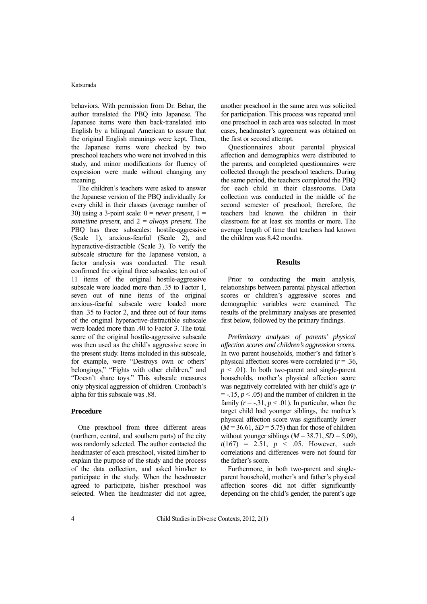behaviors. With permission from Dr. Behar, the author translated the PBQ into Japanese. The Japanese items were then back-translated into English by a bilingual American to assure that the original English meanings were kept. Then, the Japanese items were checked by two preschool teachers who were not involved in this study, and minor modifications for fluency of expression were made without changing any meaning.

The children's teachers were asked to answer the Japanese version of the PBQ individually for every child in their classes (average number of 30) using a 3-point scale:  $0 = never present$ ,  $1 =$ *sometime present*, and 2 = *always present*. The PBQ has three subscales: hostile-aggressive (Scale 1), anxious-fearful (Scale 2), and hyperactive-distractible (Scale 3). To verify the subscale structure for the Japanese version, a factor analysis was conducted. The result confirmed the original three subscales; ten out of 11 items of the original hostile-aggressive subscale were loaded more than .35 to Factor 1, seven out of nine items of the original anxious-fearful subscale were loaded more than .35 to Factor 2, and three out of four items of the original hyperactive-distractible subscale were loaded more than .40 to Factor 3. The total score of the original hostile-aggressive subscale was then used as the child's aggressive score in the present study. Items included in this subscale, for example, were "Destroys own or others' belongings," "Fights with other children," and "Doesn't share toys." This subscale measures only physical aggression of children. Cronbach's alpha for this subscale was .88.

#### **Procedure**

One preschool from three different areas (northern, central, and southern parts) of the city was randomly selected. The author contacted the headmaster of each preschool, visited him/her to explain the purpose of the study and the process of the data collection, and asked him/her to participate in the study. When the headmaster agreed to participate, his/her preschool was selected. When the headmaster did not agree, another preschool in the same area was solicited for participation. This process was repeated until one preschool in each area was selected. In most cases, headmaster's agreement was obtained on the first or second attempt.

Questionnaires about parental physical affection and demographics were distributed to the parents, and completed questionnaires were collected through the preschool teachers. During the same period, the teachers completed the PBQ for each child in their classrooms. Data collection was conducted in the middle of the second semester of preschool; therefore, the teachers had known the children in their classroom for at least six months or more. The average length of time that teachers had known the children was 8.42 months.

## **Results**

Prior to conducting the main analysis, relationships between parental physical affection scores or children's aggressive scores and demographic variables were examined. The results of the preliminary analyses are presented first below, followed by the primary findings.

*Preliminary analyses of parents' physical affection scores and children's aggression scores.*  In two parent households, mother's and father's physical affection scores were correlated (*r* = .36,  $p \leq 0.01$ ). In both two-parent and single-parent households, mother's physical affection score was negatively correlated with her child's age (*r*  $= -.15, p < .05$ ) and the number of children in the family  $(r = -0.31, p < 0.01)$ . In particular, when the target child had younger siblings, the mother's physical affection score was significantly lower  $(M = 36.61, SD = 5.75)$  than for those of children without younger siblings  $(M = 38.71, SD = 5.09)$ ,  $t(167) = 2.51, p \le .05$ . However, such correlations and differences were not found for the father's score.

Furthermore, in both two-parent and singleparent household, mother's and father's physical affection scores did not differ significantly depending on the child's gender, the parent's age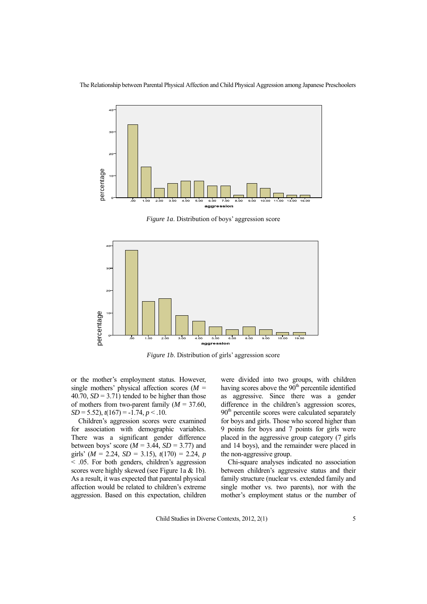



*Figure 1a*. Distribution of boys' aggression score



*Figure 1b*. Distribution of girls' aggression score

or the mother's employment status. However, single mothers' physical affection scores (*M* = 40.70,  $SD = 3.71$ ) tended to be higher than those of mothers from two-parent family  $(M = 37.60)$ ,  $SD = 5.52$ ),  $t(167) = -1.74$ ,  $p < .10$ .

Children's aggression scores were examined for association with demographic variables. There was a significant gender difference between boys' score  $(M = 3.44, SD = 3.77)$  and girls' (*M* = 2.24, *SD* = 3.15), *t*(170) = 2.24, *p* < .05. For both genders, children's aggression scores were highly skewed (see Figure 1a & 1b). As a result, it was expected that parental physical affection would be related to children's extreme aggression. Based on this expectation, children were divided into two groups, with children having scores above the  $90<sup>th</sup>$  percentile identified as aggressive. Since there was a gender difference in the children's aggression scores,  $90<sup>th</sup>$  percentile scores were calculated separately for boys and girls. Those who scored higher than 9 points for boys and 7 points for girls were placed in the aggressive group category (7 girls and 14 boys), and the remainder were placed in the non-aggressive group.

Chi-square analyses indicated no association between children's aggressive status and their family structure (nuclear vs. extended family and single mother vs. two parents), nor with the mother's employment status or the number of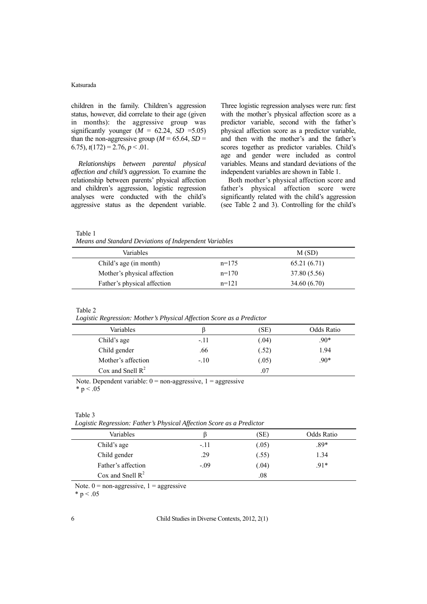children in the family. Children's aggression status, however, did correlate to their age (given in months): the aggressive group was significantly younger  $(M = 62.24, SD = 5.05)$ than the non-aggressive group ( $M = 65.64$ ,  $SD =$ 6.75),  $t(172) = 2.76, p < 0.01$ .

*Relationships between parental physical affection and child's aggression.* To examine the relationship between parents' physical affection and children's aggression, logistic regression analyses were conducted with the child's aggressive status as the dependent variable.

Three logistic regression analyses were run: first with the mother's physical affection score as a predictor variable, second with the father's physical affection score as a predictor variable, and then with the mother's and the father's scores together as predictor variables. Child's age and gender were included as control variables. Means and standard deviations of the independent variables are shown in Table 1.

Both mother's physical affection score and father's physical affection score were significantly related with the child's aggression (see Table 2 and 3). Controlling for the child's

Table 1

*Means and Standard Deviations of Independent Variables* 

| Variables                   |         | M(SD)        |
|-----------------------------|---------|--------------|
| Child's age (in month)      | $n=175$ | 65.21(6.71)  |
| Mother's physical affection | $n=170$ | 37.80 (5.56) |
| Father's physical affection | $n=121$ | 34.60(6.70)  |

Table 2

*Logistic Regression: Mother's Physical Affection Score as a Predictor* 

| Variables           |        | (SE)  | Odds Ratio |
|---------------------|--------|-------|------------|
| Child's age         | $-.11$ | (.04) | .90*       |
| Child gender        | .66    | (.52) | 1.94       |
| Mother's affection  | $-.10$ | (.05) | $.90*$     |
| Cox and Snell $R^2$ |        | .07   |            |

Note. Dependent variable:  $0 =$  non-aggressive,  $1 =$  aggressive  $* p < .05$ 

# Table 3

*Logistic Regression: Father's Physical Affection Score as a Predictor* 

| Variables           |        | (SE)  | Odds Ratio |
|---------------------|--------|-------|------------|
| Child's age         | $-11$  | (.05) | $.89*$     |
| Child gender        | .29    | (.55) | 1.34       |
| Father's affection  | $-.09$ | (.04) | $91*$      |
| Cox and Snell $R^2$ |        | .08   |            |

Note.  $0 =$  non-aggressive,  $1 =$  aggressive

 $* p < .05$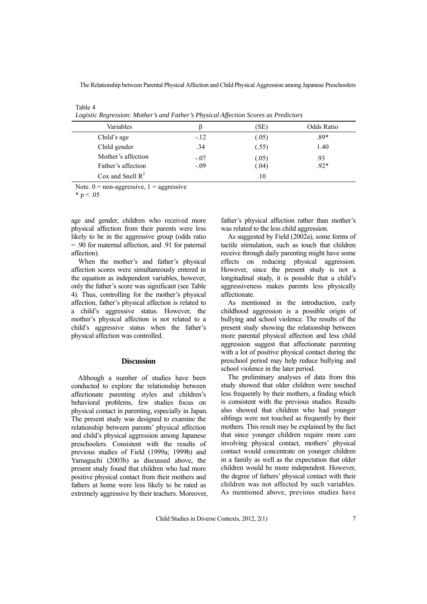| Logistic Regression: Mother's and Father's Physical Affection Scores as Predictors |        |       |            |  |  |
|------------------------------------------------------------------------------------|--------|-------|------------|--|--|
| Variables                                                                          |        | (SE)  | Odds Ratio |  |  |
| Child's age                                                                        | $-12$  | (.05) | .89*       |  |  |
| Child gender                                                                       | .34    | (.55) | 1.40       |  |  |
| Mother's affection                                                                 | $-.07$ | (.05) | .93        |  |  |
| Father's affection                                                                 | $-.09$ | (.04) | $.92*$     |  |  |
| Cox and Snell $R^2$                                                                |        | .10   |            |  |  |

Note.  $0 =$  non-aggressive,  $1 =$  aggressive

\*  $p < .05$ 

Table 4

age and gender, children who received more physical affection from their parents were less likely to be in the aggressive group (odds ratio = .90 for maternal affection, and .91 for paternal affection).

When the mother's and father's physical affection scores were simultaneously entered in the equation as independent variables, however, only the father's score was significant (see Table 4). Thus, controlling for the mother's physical affection, father's physical affection is related to a child's aggressive status. However, the mother's physical affection is not related to a child's aggressive status when the father's physical affection was controlled.

#### **Discussion**

Although a number of studies have been conducted to explore the relationship between affectionate parenting styles and children's behavioral problems, few studies focus on physical contact in parenting, especially in Japan. The present study was designed to examine the relationship between parents' physical affection and child's physical aggression among Japanese preschoolers. Consistent with the results of previous studies of Field (1999a; 1999b) and Yamaguchi (2003b) as discussed above, the present study found that children who had more positive physical contact from their mothers and fathers at home were less likely to be rated as extremely aggressive by their teachers. Moreover, father's physical affection rather than mother's was related to the less child aggression.

As suggested by Field (2002a), some forms of tactile stimulation, such as touch that children receive through daily parenting might have some effects on reducing physical aggression. However, since the present study is not a longitudinal study, it is possible that a child's aggressiveness makes parents less physically affectionate.

As mentioned in the introduction, early childhood aggression is a possible origin of bullying and school violence. The results of the present study showing the relationship between more parental physical affection and less child aggression suggest that affectionate parenting with a lot of positive physical contact during the preschool period may help reduce bullying and school violence in the later period.

The preliminary analyses of data from this study showed that older children were touched less frequently by their mothers, a finding which is consistent with the previous studies. Results also showed that children who had younger siblings were not touched as frequently by their mothers. This result may be explained by the fact that since younger children require more care involving physical contact, mothers' physical contact would concentrate on younger children in a family as well as the expectation that older children would be more independent. However, the degree of fathers' physical contact with their children was not affected by such variables. As mentioned above, previous studies have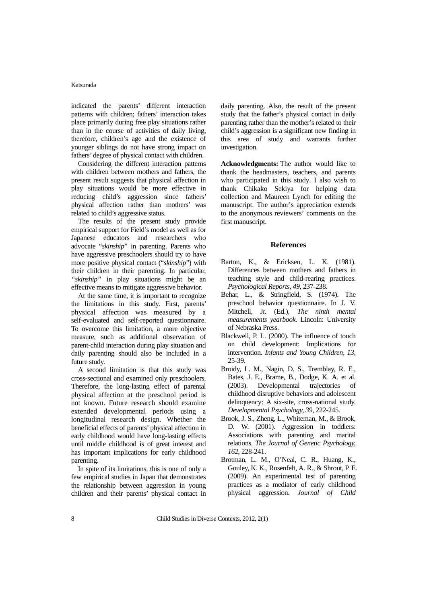indicated the parents' different interaction patterns with children; fathers' interaction takes place primarily during free play situations rather than in the course of activities of daily living, therefore, children's age and the existence of younger siblings do not have strong impact on fathers' degree of physical contact with children.

Considering the different interaction patterns with children between mothers and fathers, the present result suggests that physical affection in play situations would be more effective in reducing child's aggression since fathers' physical affection rather than mothers' was related to child's aggressive status.

The results of the present study provide empirical support for Field's model as well as for Japanese educators and researchers who advocate "*skinship*" in parenting. Parents who have aggressive preschoolers should try to have more positive physical contact ("*skinship*") with their children in their parenting. In particular, *"skinship"* in play situations might be an effective means to mitigate aggressive behavior.

At the same time, it is important to recognize the limitations in this study. First, parents' physical affection was measured by a self-evaluated and self-reported questionnaire. To overcome this limitation, a more objective measure, such as additional observation of parent-child interaction during play situation and daily parenting should also be included in a future study.

A second limitation is that this study was cross-sectional and examined only preschoolers. Therefore, the long-lasting effect of parental physical affection at the preschool period is not known. Future research should examine extended developmental periods using a longitudinal research design. Whether the beneficial effects of parents' physical affection in early childhood would have long-lasting effects until middle childhood is of great interest and has important implications for early childhood parenting.

In spite of its limitations, this is one of only a few empirical studies in Japan that demonstrates the relationship between aggression in young children and their parents' physical contact in daily parenting. Also, the result of the present study that the father's physical contact in daily parenting rather than the mother's related to their child's aggression is a significant new finding in this area of study and warrants further investigation.

**Acknowledgments:** The author would like to thank the headmasters, teachers, and parents who participated in this study. I also wish to thank Chikako Sekiya for helping data collection and Maureen Lynch for editing the manuscript. The author's appreciation extends to the anonymous reviewers' comments on the first manuscript.

#### **References**

- Barton, K., & Ericksen, L. K. (1981). Differences between mothers and fathers in teaching style and child-rearing practices. *Psychological Reports, 49*, 237-238.
- Behar, L., & Stringfield, S. (1974). The preschool behavior questionnaire. In J. V. Mitchell, Jr. (Ed.), *The ninth mental measurements yearbook.* Lincoln: University of Nebraska Press.
- Blackwell, P. L. (2000). The influence of touch on child development: Implications for intervention. *Infants and Young Children, 13,* 25-39.
- Broidy, L. M., Nagin, D. S., Tremblay, R. E., Bates, J. E., Brame, B., Dodge, K. A. et al. (2003). Developmental trajectories of childhood disruptive behaviors and adolescent delinquency: A six-site, cross-national study. *Developmental Psychology, 39*, 222-245.
- Brook, J. S., Zheng, L., Whiteman, M., & Brook, D. W. (2001). Aggression in toddlers: Associations with parenting and marital relations. *The Journal of Genetic Psychology, 162*, 228-241.
- Brotman, L. M., O'Neal, C. R., Huang, K., Gouley, K. K., Rosenfelt, A. R., & Shrout, P. E. (2009). An experimental test of parenting practices as a mediator of early childhood physical aggression. *Journal of Child*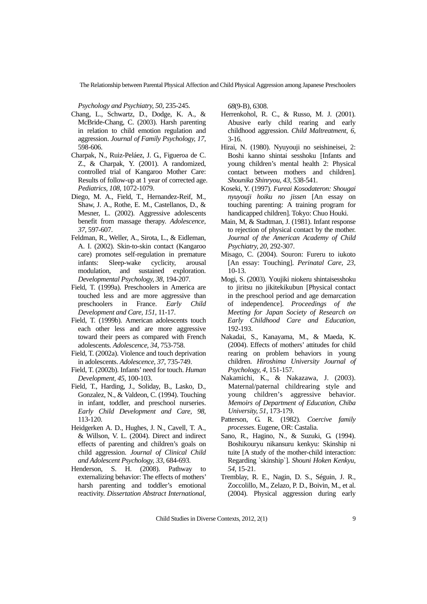*Psychology and Psychiatry, 50,* 235-245.

- Chang, L., Schwartz, D., Dodge, K. A., & McBride-Chang, C. (2003). Harsh parenting in relation to child emotion regulation and aggression. *Journal of Family Psychology, 17*, 598-606.
- Charpak, N., Ruiz-Peláez, J. G., Figueroa de C. Z., & Charpak, Y. (2001). A randomized, controlled trial of Kangaroo Mother Care: Results of follow-up at 1 year of corrected age. *Pediatrics, 108,* 1072-1079.
- Diego, M. A., Field, T., Hernandez-Reif, M., Shaw, J. A., Rothe, E. M., Castellanos, D., & Mesner, L. (2002). Aggressive adolescents benefit from massage therapy. *Adolescence, 37,* 597-607.
- Feldman, R., Weller, A., Sirota, L., & Eidleman, A. I. (2002). Skin-to-skin contact (Kangaroo care) promotes self-regulation in premature infants: Sleep-wake cyclicity, arousal modulation, and sustained exploration. *Developmental Psychology, 38,* 194-207.
- Field, T. (1999a). Preschoolers in America are touched less and are more aggressive than preschoolers in France. *Early Child Development and Care, 151,* 11-17.
- Field, T. (1999b). American adolescents touch each other less and are more aggressive toward their peers as compared with French adolescents. *Adolescence, 34,* 753-758.
- Field, T. (2002a). Violence and touch deprivation in adolescents. *Adolescence, 37,* 735-749.
- Field, T. (2002b). Infants' need for touch. *Human Development, 45,* 100-103.
- Field, T., Harding, J., Soliday, B., Lasko, D., Gonzalez, N., & Valdeon, C. (1994). Touching in infant, toddler, and preschool nurseries. *Early Child Development and Care, 98,* 113-120.
- Heidgerken A. D., Hughes, J. N., Cavell, T. A., & Willson, V. L. (2004). Direct and indirect effects of parenting and children's goals on child aggression. *Journal of Clinical Child and Adolescent Psychology, 33*, 684-693.
- Henderson, S. H. (2008). Pathway to externalizing behavior: The effects of mothers' harsh parenting and toddler's emotional reactivity. *Dissertation Abstract International*,

*68*(9-B), 6308.

- Herrenkohol, R. C., & Russo, M. J. (2001). Abusive early child rearing and early childhood aggression. *Child Maltreatment, 6*, 3-16.
- Hirai, N. (1980). Nyuyouji no seishineisei, 2: Boshi kanno shintai sesshoku [Infants and young children's mental health 2: Physical contact between mothers and children]. *Shounika Shinryou, 43,* 538-541.
- Koseki, Y. (1997). *Fureai Kosodateron: Shougai nyuyouji hoiku no jissen* [An essay on touching parenting: A training program for handicapped children]. Tokyo: Chuo Houki.
- Main, M, & Stadtman, J. (1981). Infant response to rejection of physical contact by the mother. *Journal of the American Academy of Child Psychiatry, 20,* 292-307.
- Misago, C. (2004). Souron: Fureru to iukoto [An essay: Touching]. *Perinatal Care, 23,* 10-13.
- Mogi, S. (2003). Youjiki niokeru shintaisesshoku to jiritsu no jikitekikubun [Physical contact in the preschool period and age demarcation of independence]. *Proceedings of the Meeting for Japan Society of Research on Early Childhood Care and Education*, 192-193.
- Nakadai, S., Kanayama, M., & Maeda, K. (2004). Effects of mothers' attitudes for child rearing on problem behaviors in young children. *Hiroshima University Journal of Psychology, 4,* 151-157.
- Nakamichi, K., & Nakazawa, J. (2003). Maternal/paternal childrearing style and young children's aggressive behavior. *Memoirs of Department of Education, Chiba University, 51,* 173-179.
- Patterson, G. R. (1982). *Coercive family processes*. Eugene, OR: Castalia.
- Sano, R., Hagino, N., & Suzuki, G. (1994). Boshikouryu nikansuru kenkyu: Skinship ni tuite [A study of the mother-child interaction: Regarding `skinship`]. *Shouni Hoken Kenkyu, 54,* 15-21.
- Tremblay, R. E., Nagin, D. S., Séguin, J. R., Zoccolillo, M., Zelazo, P. D., Boivin, M., et al. (2004). Physical aggression during early